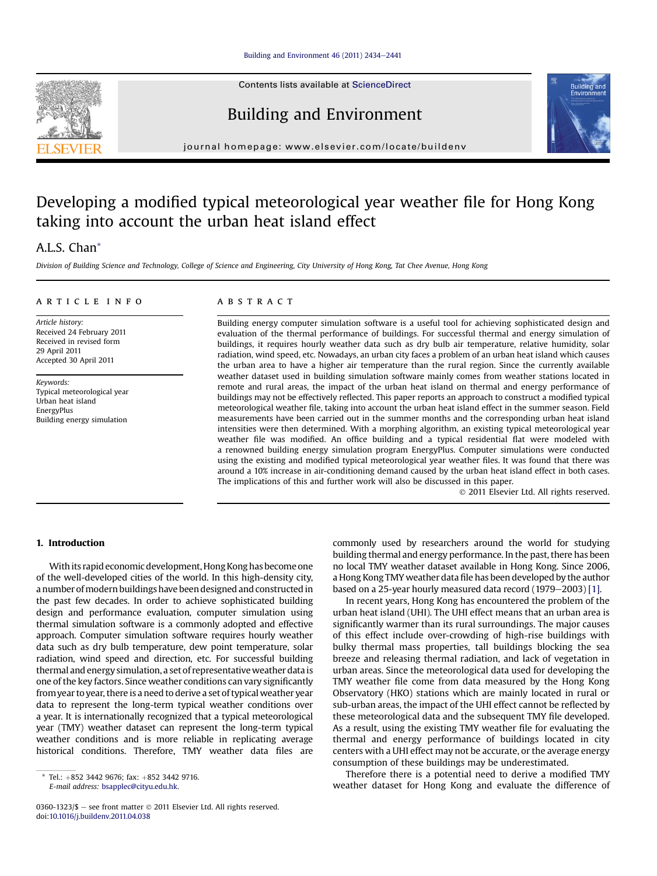Contents lists available at [ScienceDirect](www.sciencedirect.com/science/journal/03601323)

## Building and Environment

journal homepage: [www.elsevier.com/locate/buildenv](http://www.elsevier.com/locate/buildenv)

# Developing a modified typical meteorological year weather file for Hong Kong taking into account the urban heat island effect

### A.L.S. Chan\*

Division of Building Science and Technology, College of Science and Engineering, City University of Hong Kong, Tat Chee Avenue, Hong Kong

#### article info

Article history: Received 24 February 2011 Received in revised form 29 April 2011 Accepted 30 April 2011

Keywords: Typical meteorological year Urban heat island EnergyPlus Building energy simulation

#### **ABSTRACT**

Building energy computer simulation software is a useful tool for achieving sophisticated design and evaluation of the thermal performance of buildings. For successful thermal and energy simulation of buildings, it requires hourly weather data such as dry bulb air temperature, relative humidity, solar radiation, wind speed, etc. Nowadays, an urban city faces a problem of an urban heat island which causes the urban area to have a higher air temperature than the rural region. Since the currently available weather dataset used in building simulation software mainly comes from weather stations located in remote and rural areas, the impact of the urban heat island on thermal and energy performance of buildings may not be effectively reflected. This paper reports an approach to construct a modified typical meteorological weather file, taking into account the urban heat island effect in the summer season. Field measurements have been carried out in the summer months and the corresponding urban heat island intensities were then determined. With a morphing algorithm, an existing typical meteorological year weather file was modified. An office building and a typical residential flat were modeled with a renowned building energy simulation program EnergyPlus. Computer simulations were conducted using the existing and modified typical meteorological year weather files. It was found that there was around a 10% increase in air-conditioning demand caused by the urban heat island effect in both cases. The implications of this and further work will also be discussed in this paper.

2011 Elsevier Ltd. All rights reserved.

#### 1. Introduction

With its rapid economic development, Hong Kong has become one of the well-developed cities of the world. In this high-density city, a number of modern buildings have been designed and constructed in the past few decades. In order to achieve sophisticated building design and performance evaluation, computer simulation using thermal simulation software is a commonly adopted and effective approach. Computer simulation software requires hourly weather data such as dry bulb temperature, dew point temperature, solar radiation, wind speed and direction, etc. For successful building thermal and energy simulation, a set of representative weather datais one of the key factors. Since weather conditions can vary significantly from year to year, there is a need to derive a set of typical weather year data to represent the long-term typical weather conditions over a year. It is internationally recognized that a typical meteorological year (TMY) weather dataset can represent the long-term typical weather conditions and is more reliable in replicating average historical conditions. Therefore, TMY weather data files are

commonly used by researchers around the world for studying building thermal and energy performance. In the past, there has been no local TMY weather dataset available in Hong Kong. Since 2006, a Hong Kong TMY weather data file has been developed by the author based on a 25-year hourly measured data record  $(1979-2003)$  [1].

In recent years, Hong Kong has encountered the problem of the urban heat island (UHI). The UHI effect means that an urban area is significantly warmer than its rural surroundings. The major causes of this effect include over-crowding of high-rise buildings with bulky thermal mass properties, tall buildings blocking the sea breeze and releasing thermal radiation, and lack of vegetation in urban areas. Since the meteorological data used for developing the TMY weather file come from data measured by the Hong Kong Observatory (HKO) stations which are mainly located in rural or sub-urban areas, the impact of the UHI effect cannot be reflected by these meteorological data and the subsequent TMY file developed. As a result, using the existing TMY weather file for evaluating the thermal and energy performance of buildings located in city centers with a UHI effect may not be accurate, or the average energy consumption of these buildings may be underestimated.

Therefore there is a potential need to derive a modified TMY weather dataset for Hong Kong and evaluate the difference of





Tel.: +852 3442 9676; fax: +852 3442 9716. E-mail address: [bsapplec@cityu.edu.hk.](mailto:bsapplec@cityu.edu.hk)

<sup>0360-1323/\$ -</sup> see front matter  $\odot$  2011 Elsevier Ltd. All rights reserved. doi:[10.1016/j.buildenv.2011.04.038](http://dx.doi.org/10.1016/j.buildenv.2011.04.038)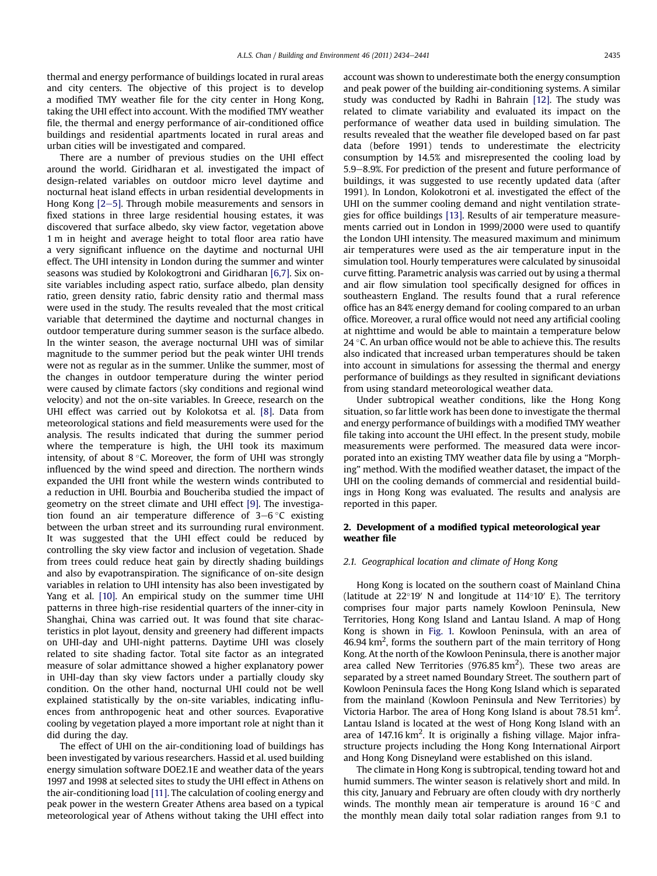thermal and energy performance of buildings located in rural areas and city centers. The objective of this project is to develop a modified TMY weather file for the city center in Hong Kong, taking the UHI effect into account. With the modified TMY weather file, the thermal and energy performance of air-conditioned office buildings and residential apartments located in rural areas and urban cities will be investigated and compared.

There are a number of previous studies on the UHI effect around the world. Giridharan et al. investigated the impact of design-related variables on outdoor micro level daytime and nocturnal heat island effects in urban residential developments in Hong Kong  $[2-5]$ . Through mobile measurements and sensors in fixed stations in three large residential housing estates, it was discovered that surface albedo, sky view factor, vegetation above 1 m in height and average height to total floor area ratio have a very significant influence on the daytime and nocturnal UHI effect. The UHI intensity in London during the summer and winter seasons was studied by Kolokogtroni and Giridharan [6,7]. Six onsite variables including aspect ratio, surface albedo, plan density ratio, green density ratio, fabric density ratio and thermal mass were used in the study. The results revealed that the most critical variable that determined the daytime and nocturnal changes in outdoor temperature during summer season is the surface albedo. In the winter season, the average nocturnal UHI was of similar magnitude to the summer period but the peak winter UHI trends were not as regular as in the summer. Unlike the summer, most of the changes in outdoor temperature during the winter period were caused by climate factors (sky conditions and regional wind velocity) and not the on-site variables. In Greece, research on the UHI effect was carried out by Kolokotsa et al. [8]. Data from meteorological stations and field measurements were used for the analysis. The results indicated that during the summer period where the temperature is high, the UHI took its maximum intensity, of about 8  $^\circ{\sf C}.$  Moreover, the form of UHI was strongly influenced by the wind speed and direction. The northern winds expanded the UHI front while the western winds contributed to a reduction in UHI. Bourbia and Boucheriba studied the impact of geometry on the street climate and UHI effect [9]. The investigation found an air temperature difference of 3–6 $^{\circ}$ C existing between the urban street and its surrounding rural environment. It was suggested that the UHI effect could be reduced by controlling the sky view factor and inclusion of vegetation. Shade from trees could reduce heat gain by directly shading buildings and also by evapotranspiration. The significance of on-site design variables in relation to UHI intensity has also been investigated by Yang et al. [10]. An empirical study on the summer time UHI patterns in three high-rise residential quarters of the inner-city in Shanghai, China was carried out. It was found that site characteristics in plot layout, density and greenery had different impacts on UHI-day and UHI-night patterns. Daytime UHI was closely related to site shading factor. Total site factor as an integrated measure of solar admittance showed a higher explanatory power in UHI-day than sky view factors under a partially cloudy sky condition. On the other hand, nocturnal UHI could not be well explained statistically by the on-site variables, indicating influences from anthropogenic heat and other sources. Evaporative cooling by vegetation played a more important role at night than it did during the day.

The effect of UHI on the air-conditioning load of buildings has been investigated by various researchers. Hassid et al. used building energy simulation software DOE2.1E and weather data of the years 1997 and 1998 at selected sites to study the UHI effect in Athens on the air-conditioning load [11]. The calculation of cooling energy and peak power in the western Greater Athens area based on a typical meteorological year of Athens without taking the UHI effect into account was shown to underestimate both the energy consumption and peak power of the building air-conditioning systems. A similar study was conducted by Radhi in Bahrain [12]. The study was related to climate variability and evaluated its impact on the performance of weather data used in building simulation. The results revealed that the weather file developed based on far past data (before 1991) tends to underestimate the electricity consumption by 14.5% and misrepresented the cooling load by 5.9–8.9%. For prediction of the present and future performance of buildings, it was suggested to use recently updated data (after 1991). In London, Kolokotroni et al. investigated the effect of the UHI on the summer cooling demand and night ventilation strategies for office buildings [13]. Results of air temperature measurements carried out in London in 1999/2000 were used to quantify the London UHI intensity. The measured maximum and minimum air temperatures were used as the air temperature input in the simulation tool. Hourly temperatures were calculated by sinusoidal curve fitting. Parametric analysis was carried out by using a thermal and air flow simulation tool specifically designed for offices in southeastern England. The results found that a rural reference office has an 84% energy demand for cooling compared to an urban office. Moreover, a rural office would not need any artificial cooling at nighttime and would be able to maintain a temperature below  $24$  °C. An urban office would not be able to achieve this. The results also indicated that increased urban temperatures should be taken into account in simulations for assessing the thermal and energy performance of buildings as they resulted in significant deviations from using standard meteorological weather data.

Under subtropical weather conditions, like the Hong Kong situation, so far little work has been done to investigate the thermal and energy performance of buildings with a modified TMY weather file taking into account the UHI effect. In the present study, mobile measurements were performed. The measured data were incorporated into an existing TMY weather data file by using a "Morphing" method. With the modified weather dataset, the impact of the UHI on the cooling demands of commercial and residential buildings in Hong Kong was evaluated. The results and analysis are reported in this paper.

#### 2. Development of a modified typical meteorological year weather file

#### 2.1. Geographical location and climate of Hong Kong

Hong Kong is located on the southern coast of Mainland China (latitude at 22°19' N and longitude at 114°10' E). The territory comprises four major parts namely Kowloon Peninsula, New Territories, Hong Kong Island and Lantau Island. A map of Hong Kong is shown in Fig. 1. Kowloon Peninsula, with an area of 46.94 km<sup>2</sup>, forms the southern part of the main territory of Hong Kong. At the north of the Kowloon Peninsula, there is another major area called New Territories (976.85  $km<sup>2</sup>$ ). These two areas are separated by a street named Boundary Street. The southern part of Kowloon Peninsula faces the Hong Kong Island which is separated from the mainland (Kowloon Peninsula and New Territories) by Victoria Harbor. The area of Hong Kong Island is about 78.51  $\text{km}^2$ . Lantau Island is located at the west of Hong Kong Island with an area of  $147.16 \text{ km}^2$ . It is originally a fishing village. Major infrastructure projects including the Hong Kong International Airport and Hong Kong Disneyland were established on this island.

The climate in Hong Kong is subtropical, tending toward hot and humid summers. The winter season is relatively short and mild. In this city, January and February are often cloudy with dry northerly winds. The monthly mean air temperature is around 16  $\degree$ C and the monthly mean daily total solar radiation ranges from 9.1 to